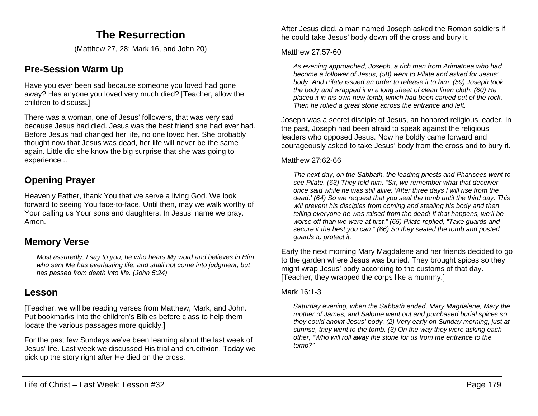# **The Resurrection**

(Matthew 27, 28; Mark 16, and John 20)

# **Pre-Session Warm Up**

Have you ever been sad because someone you loved had gone away? Has anyone you loved very much died? [Teacher, allow the children to discuss.]

There was a woman, one of Jesus' followers, that was very sad because Jesus had died. Jesus was the best friend she had ever had. Before Jesus had changed her life, no one loved her. She probably thought now that Jesus was dead, her life will never be the same again. Little did she know the big surprise that she was going to experience...

# **Opening Prayer**

Heavenly Father, thank You that we serve a living God. We look forward to seeing You face-to-face. Until then, may we walk worthy of Your calling us Your sons and daughters. In Jesus' name we pray. Amen.

## **Memory Verse**

*Most assuredly, I say to you, he who hears My word and believes in Him who sent Me has everlasting life, and shall not come into judgment, but has passed from death into life. (John 5:24)*

## **Lesson**

[Teacher, we will be reading verses from Matthew, Mark, and John. Put bookmarks into the children's Bibles before class to help them locate the various passages more quickly.]

For the past few Sundays we've been learning about the last week of Jesus' life. Last week we discussed His trial and crucifixion. Today we pick up the story right after He died on the cross.

After Jesus died, a man named Joseph asked the Roman soldiers if he could take Jesus' body down off the cross and bury it.

#### Matthew 27:57-60

*As evening approached, Joseph, a rich man from Arimathea who had become a follower of Jesus, (58) went to Pilate and asked for Jesus' body. And Pilate issued an order to release it to him. (59) Joseph took the body and wrapped it in a long sheet of clean linen cloth. (60) He placed it in his own new tomb, which had been carved out of the rock. Then he rolled a great stone across the entrance and left.*

Joseph was a secret disciple of Jesus, an honored religious leader. In the past, Joseph had been afraid to speak against the religious leaders who opposed Jesus. Now he boldly came forward and courageously asked to take Jesus' body from the cross and to bury it.

#### Matthew 27:62-66

*The next day, on the Sabbath, the leading priests and Pharisees went to see Pilate. (63) They told him, "Sir, we remember what that deceiver once said while he was still alive: 'After three days I will rise from the dead.' (64) So we request that you seal the tomb until the third day. This will prevent his disciples from coming and stealing his body and then telling everyone he was raised from the dead! If that happens, we'll be worse off than we were at first." (65) Pilate replied, "Take guards and secure it the best you can." (66) So they sealed the tomb and posted guards to protect it.*

Early the next morning Mary Magdalene and her friends decided to go to the garden where Jesus was buried. They brought spices so they might wrap Jesus' body according to the customs of that day. [Teacher, they wrapped the corps like a mummy.]

## Mark 16:1-3

*Saturday evening, when the Sabbath ended, Mary Magdalene, Mary the mother of James, and Salome went out and purchased burial spices so they could anoint Jesus' body. (2) Very early on Sunday morning, just at sunrise, they went to the tomb. (3) On the way they were asking each other, "Who will roll away the stone for us from the entrance to the tomb?"*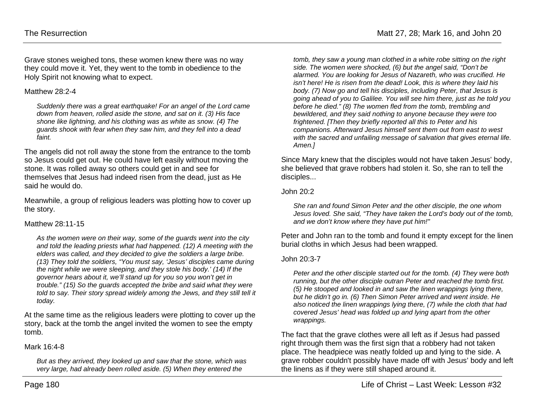Grave stones weighed tons, these women knew there was no way they could move it. Yet, they went to the tomb in obedience to the Holy Spirit not knowing what to expect.

#### Matthew 28:2-4

*Suddenly there was a great earthquake! For an angel of the Lord came down from heaven, rolled aside the stone, and sat on it. (3) His face shone like lightning, and his clothing was as white as snow. (4) The guards shook with fear when they saw him, and they fell into a dead faint.*

The angels did not roll away the stone from the entrance to the tomb so Jesus could get out. He could have left easily without moving the stone. It was rolled away so others could get in and see for themselves that Jesus had indeed risen from the dead, just as He said he would do.

Meanwhile, a group of religious leaders was plotting how to cover up the story.

## Matthew 28:11-15

*As the women were on their way, some of the guards went into the city and told the leading priests what had happened. (12) A meeting with the elders was called, and they decided to give the soldiers a large bribe. (13) They told the soldiers, "You must say, 'Jesus' disciples came during the night while we were sleeping, and they stole his body.' (14) If the governor hears about it, we'll stand up for you so you won't get in trouble." (15) So the guards accepted the bribe and said what they were told to say. Their story spread widely among the Jews, and they still tell it today.*

At the same time as the religious leaders were plotting to cover up the story, back at the tomb the angel invited the women to see the empty tomb.

#### Mark 16:4-8

*But as they arrived, they looked up and saw that the stone, which was very large, had already been rolled aside. (5) When they entered the* 

*tomb, they saw a young man clothed in a white robe sitting on the right side. The women were shocked, (6) but the angel said, "Don't be alarmed. You are looking for Jesus of Nazareth, who was crucified. He isn't here! He is risen from the dead! Look, this is where they laid his body. (7) Now go and tell his disciples, including Peter, that Jesus is going ahead of you to Galilee. You will see him there, just as he told you before he died." (8) The women fled from the tomb, trembling and bewildered, and they said nothing to anyone because they were too frightened. [Then they briefly reported all this to Peter and his companions. Afterward Jesus himself sent them out from east to west with the sacred and unfailing message of salvation that gives eternal life. Amen.]*

Since Mary knew that the disciples would not have taken Jesus' body, she believed that grave robbers had stolen it. So, she ran to tell the disciples...

#### John 20:2

*She ran and found Simon Peter and the other disciple, the one whom Jesus loved. She said, "They have taken the Lord's body out of the tomb, and we don't know where they have put him!"*

Peter and John ran to the tomb and found it empty except for the linen burial cloths in which Jesus had been wrapped.

#### John 20:3-7

*Peter and the other disciple started out for the tomb. (4) They were both running, but the other disciple outran Peter and reached the tomb first. (5) He stooped and looked in and saw the linen wrappings lying there, but he didn't go in. (6) Then Simon Peter arrived and went inside. He also noticed the linen wrappings lying there, (7) while the cloth that had covered Jesus' head was folded up and lying apart from the other wrappings.*

The fact that the grave clothes were all left as if Jesus had passed right through them was the first sign that a robbery had not taken place. The headpiece was neatly folded up and lying to the side. A grave robber couldn't possibly have made off with Jesus' body and left the linens as if they were still shaped around it.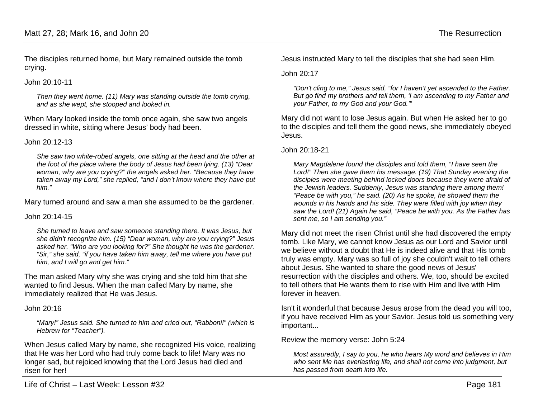The disciples returned home, but Mary remained outside the tomb crying.

John 20:10-11

*Then they went home. (11) Mary was standing outside the tomb crying, and as she wept, she stooped and looked in.*

When Mary looked inside the tomb once again, she saw two angels dressed in white, sitting where Jesus' body had been.

#### John 20:12-13

*She saw two white-robed angels, one sitting at the head and the other at the foot of the place where the body of Jesus had been lying. (13) "Dear woman, why are you crying?" the angels asked her. "Because they have taken away my Lord," she replied, "and I don't know where they have put him."*

Mary turned around and saw a man she assumed to be the gardener.

#### John 20:14-15

*She turned to leave and saw someone standing there. It was Jesus, but she didn't recognize him. (15) "Dear woman, why are you crying?" Jesus asked her. "Who are you looking for?" She thought he was the gardener. "Sir," she said, "if you have taken him away, tell me where you have put him, and I will go and get him."*

The man asked Mary why she was crying and she told him that she wanted to find Jesus. When the man called Mary by name, she immediately realized that He was Jesus.

#### John 20:16

*"Mary!" Jesus said. She turned to him and cried out, "Rabboni!" (which is Hebrew for "Teacher").* 

When Jesus called Mary by name, she recognized His voice, realizing that He was her Lord who had truly come back to life! Mary was no longer sad, but rejoiced knowing that the Lord Jesus had died and risen for her!

Jesus instructed Mary to tell the disciples that she had seen Him.

#### John 20:17

*"Don't cling to me," Jesus said, "for I haven't yet ascended to the Father. But go find my brothers and tell them, 'I am ascending to my Father and your Father, to my God and your God.'"*

Mary did not want to lose Jesus again. But when He asked her to go to the disciples and tell them the good news, she immediately obeyed Jesus.

John 20:18-21

*Mary Magdalene found the disciples and told them, "I have seen the Lord!" Then she gave them his message. (19) That Sunday evening the disciples were meeting behind locked doors because they were afraid of the Jewish leaders. Suddenly, Jesus was standing there among them! "Peace be with you," he said. (20) As he spoke, he showed them the wounds in his hands and his side. They were filled with joy when they saw the Lord! (21) Again he said, "Peace be with you. As the Father has sent me, so I am sending you."*

Mary did not meet the risen Christ until she had discovered the empty tomb. Like Mary, we cannot know Jesus as our Lord and Savior until we believe without a doubt that He is indeed alive and that His tomb truly was empty. Mary was so full of joy she couldn't wait to tell others about Jesus. She wanted to share the good news of Jesus' resurrection with the disciples and others. We, too, should be excited to tell others that He wants them to rise with Him and live with Him forever in heaven.

Isn't it wonderful that because Jesus arose from the dead you will too, if you have received Him as your Savior. Jesus told us something very important...

Review the memory verse: John 5:24

*Most assuredly, I say to you, he who hears My word and believes in Him who sent Me has everlasting life, and shall not come into judgment, but has passed from death into life.*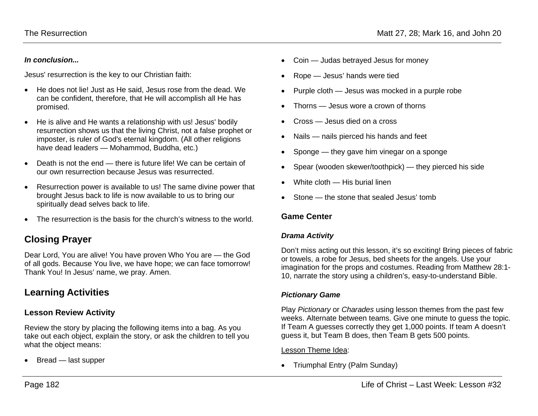#### *In conclusion...*

Jesus' resurrection is the key to our Christian faith:

- He does not lie! Just as He said, Jesus rose from the dead. We can be confident, therefore, that He will accomplish all He has promised.
- He is alive and He wants a relationship with us! Jesus' bodily resurrection shows us that the living Christ, not a false prophet or imposter, is ruler of God's eternal kingdom. (All other religions have dead leaders — Mohammod, Buddha, etc.)
- Death is not the end there is future life! We can be certain of our own resurrection because Jesus was resurrected.
- Resurrection power is available to us! The same divine power that brought Jesus back to life is now available to us to bring our spiritually dead selves back to life.
- The resurrection is the basis for the church's witness to the world.

## **Closing Prayer**

Dear Lord, You are alive! You have proven Who You are — the God of all gods. Because You live, we have hope; we can face tomorrow! Thank You! In Jesus' name, we pray. Amen.

## **Learning Activities**

## **Lesson Review Activity**

Review the story by placing the following items into a bag. As you take out each object, explain the story, or ask the children to tell you what the object means:

• Bread — last supper

- Coin Judas betrayed Jesus for money
- Rope Jesus' hands were tied
- Purple cloth Jesus was mocked in a purple robe
- Thorns Jesus wore a crown of thorns
- Cross Jesus died on a cross
- Nails nails pierced his hands and feet
- Sponge they gave him vinegar on a sponge
- Spear (wooden skewer/toothpick) they pierced his side
- White cloth His burial linen
- Stone the stone that sealed Jesus' tomb

## **Game Center**

## *Drama Activity*

Don't miss acting out this lesson, it's so exciting! Bring pieces of fabric or towels, a robe for Jesus, bed sheets for the angels. Use your imagination for the props and costumes. Reading from Matthew 28:1- 10, narrate the story using a children's, easy-to-understand Bible.

## *Pictionary Game*

Play *Pictionary* or *Charades* using lesson themes from the past few weeks. Alternate between teams. Give one minute to guess the topic. If Team A guesses correctly they get 1,000 points. If team A doesn't guess it, but Team B does, then Team B gets 500 points.

Lesson Theme Idea:

• Triumphal Entry (Palm Sunday)